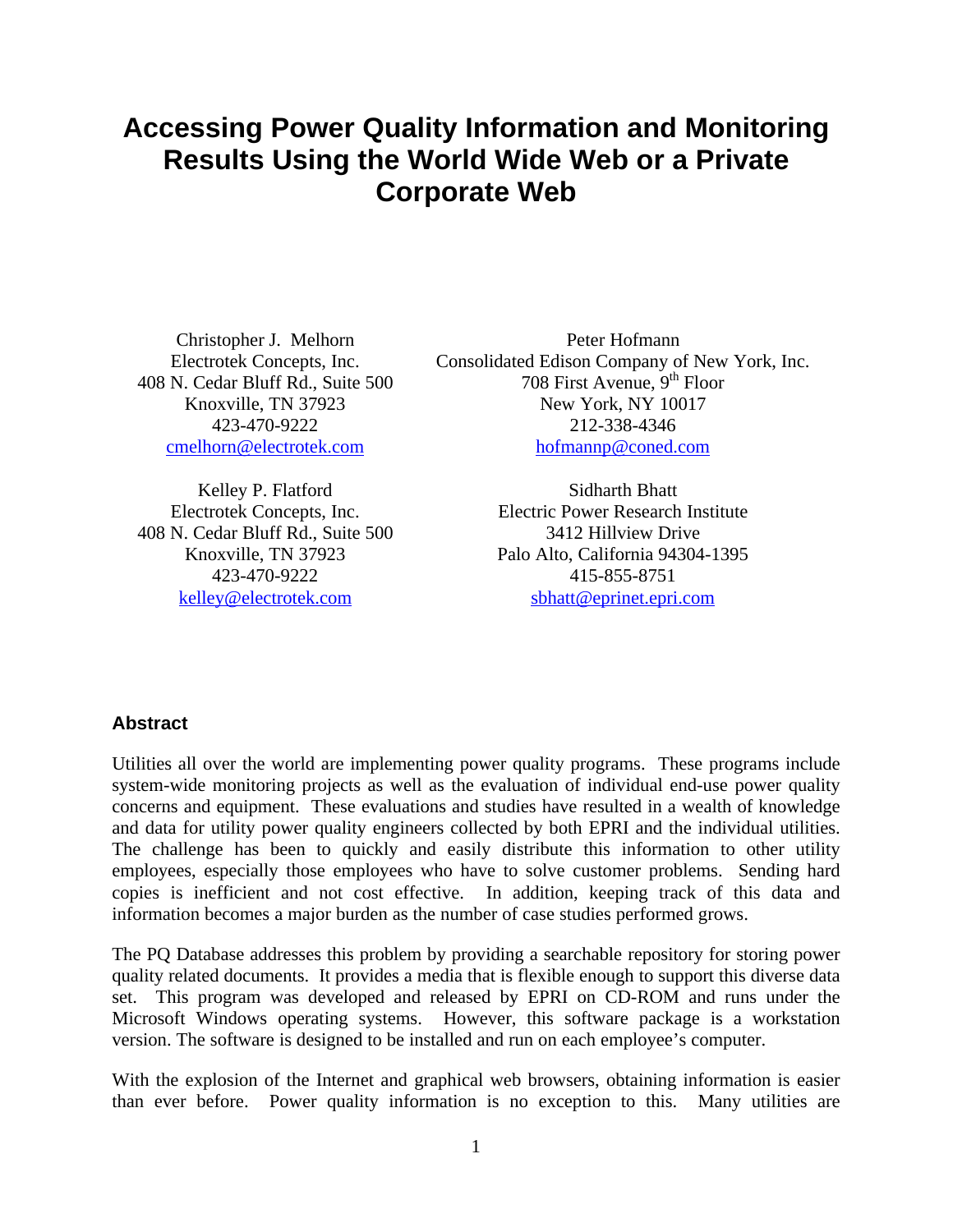# **Accessing Power Quality Information and Monitoring Results Using the World Wide Web or a Private Corporate Web**

408 N. Cedar Bluff Rd., Suite 500

Kelley P. Flatford Sidharth Bhatt 408 N. Cedar Bluff Rd., Suite 500 3412 Hillview Drive

Christopher J. Melhorn Peter Hofmann Electrotek Concepts, Inc. Consolidated Edison Company of New York, Inc.<br>N. Cedar Bluff Rd., Suite 500 708 First Avenue. 9<sup>th</sup> Floor Knoxville, TN 37923 New York, NY 10017 423-470-9222 212-338-4346 cmelhorn@electrotek.com hofmannp@coned.com

Electrotek Concepts, Inc. Electric Power Research Institute Knoxville, TN 37923 Palo Alto, California 94304-1395 423-470-9222 415-855-8751 kelley@electrotek.com sbhatt@eprinet.epri.com

## **Abstract**

Utilities all over the world are implementing power quality programs. These programs include system-wide monitoring projects as well as the evaluation of individual end-use power quality concerns and equipment. These evaluations and studies have resulted in a wealth of knowledge and data for utility power quality engineers collected by both EPRI and the individual utilities. The challenge has been to quickly and easily distribute this information to other utility employees, especially those employees who have to solve customer problems. Sending hard copies is inefficient and not cost effective. In addition, keeping track of this data and information becomes a major burden as the number of case studies performed grows.

The PQ Database addresses this problem by providing a searchable repository for storing power quality related documents. It provides a media that is flexible enough to support this diverse data set. This program was developed and released by EPRI on CD-ROM and runs under the Microsoft Windows operating systems. However, this software package is a workstation version. The software is designed to be installed and run on each employee's computer.

With the explosion of the Internet and graphical web browsers, obtaining information is easier than ever before. Power quality information is no exception to this. Many utilities are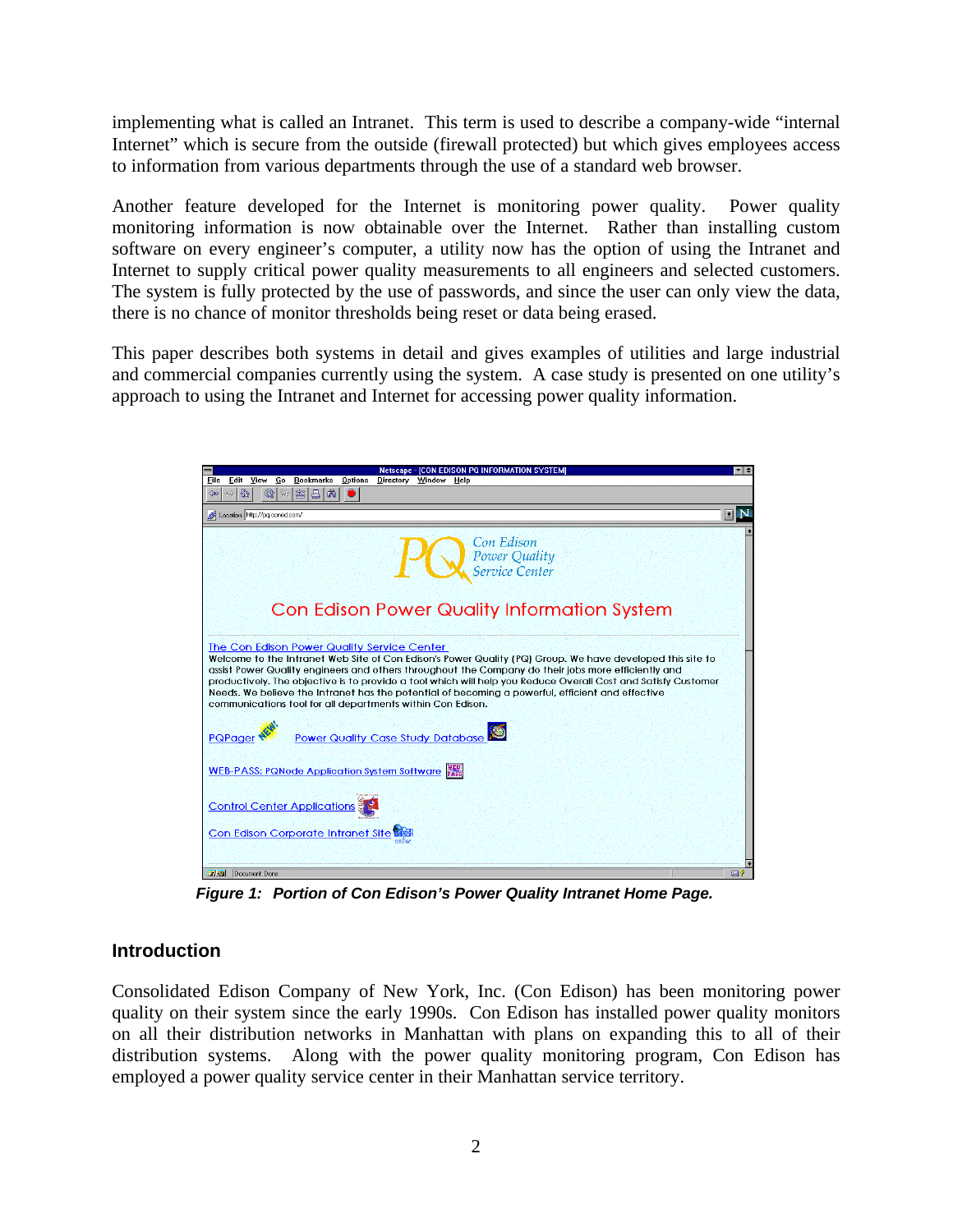implementing what is called an Intranet. This term is used to describe a company-wide "internal Internet" which is secure from the outside (firewall protected) but which gives employees access to information from various departments through the use of a standard web browser.

Another feature developed for the Internet is monitoring power quality. Power quality monitoring information is now obtainable over the Internet. Rather than installing custom software on every engineer's computer, a utility now has the option of using the Intranet and Internet to supply critical power quality measurements to all engineers and selected customers. The system is fully protected by the use of passwords, and since the user can only view the data, there is no chance of monitor thresholds being reset or data being erased.

This paper describes both systems in detail and gives examples of utilities and large industrial and commercial companies currently using the system. A case study is presented on one utility's approach to using the Intranet and Internet for accessing power quality information.



*Figure 1: Portion of Con Edison's Power Quality Intranet Home Page.*

## **Introduction**

Consolidated Edison Company of New York, Inc. (Con Edison) has been monitoring power quality on their system since the early 1990s. Con Edison has installed power quality monitors on all their distribution networks in Manhattan with plans on expanding this to all of their distribution systems. Along with the power quality monitoring program, Con Edison has employed a power quality service center in their Manhattan service territory.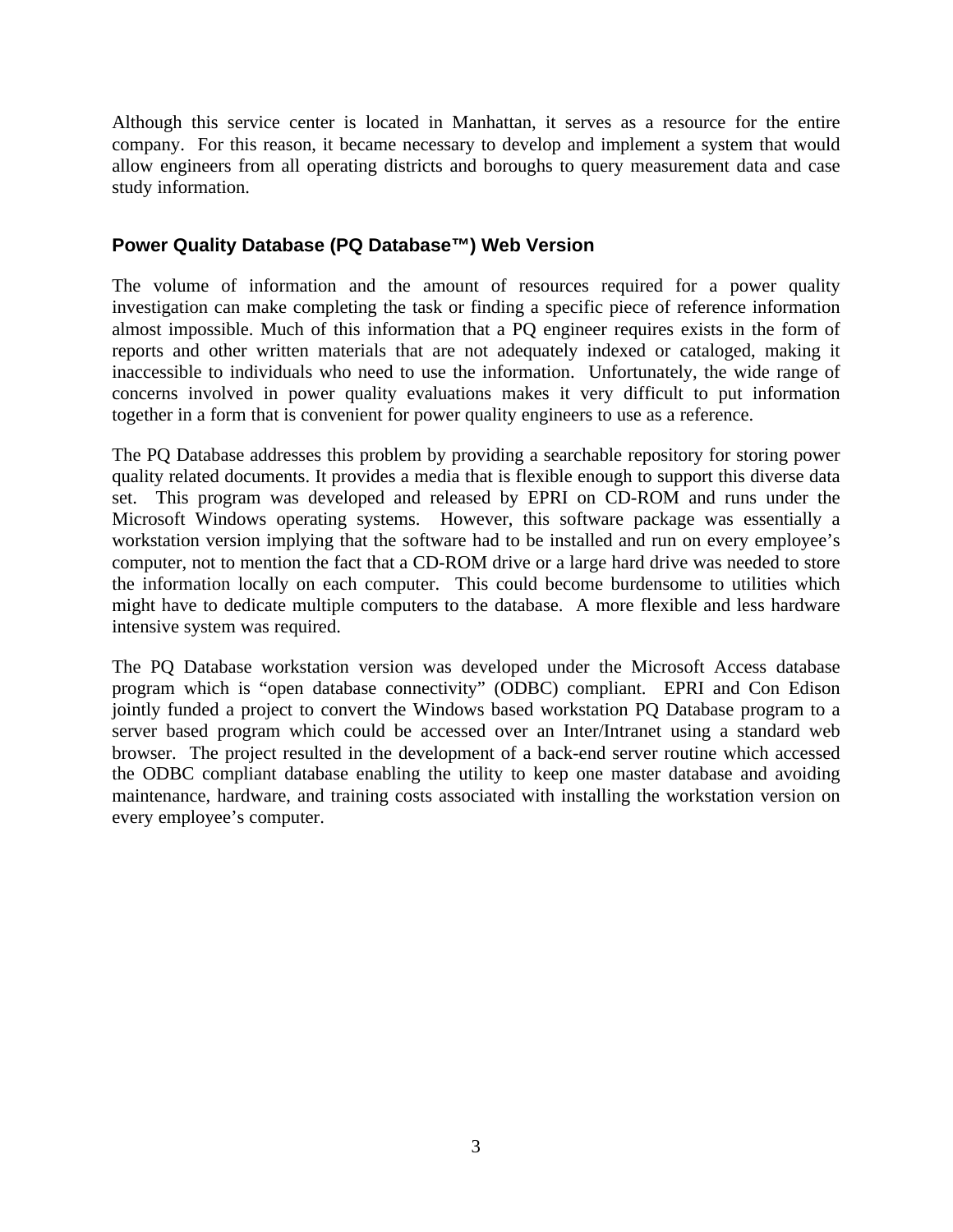Although this service center is located in Manhattan, it serves as a resource for the entire company. For this reason, it became necessary to develop and implement a system that would allow engineers from all operating districts and boroughs to query measurement data and case study information.

## **Power Quality Database (PQ Database™) Web Version**

The volume of information and the amount of resources required for a power quality investigation can make completing the task or finding a specific piece of reference information almost impossible. Much of this information that a PQ engineer requires exists in the form of reports and other written materials that are not adequately indexed or cataloged, making it inaccessible to individuals who need to use the information. Unfortunately, the wide range of concerns involved in power quality evaluations makes it very difficult to put information together in a form that is convenient for power quality engineers to use as a reference.

The PQ Database addresses this problem by providing a searchable repository for storing power quality related documents. It provides a media that is flexible enough to support this diverse data set. This program was developed and released by EPRI on CD-ROM and runs under the Microsoft Windows operating systems. However, this software package was essentially a workstation version implying that the software had to be installed and run on every employee's computer, not to mention the fact that a CD-ROM drive or a large hard drive was needed to store the information locally on each computer. This could become burdensome to utilities which might have to dedicate multiple computers to the database. A more flexible and less hardware intensive system was required.

The PQ Database workstation version was developed under the Microsoft Access database program which is "open database connectivity" (ODBC) compliant. EPRI and Con Edison jointly funded a project to convert the Windows based workstation PQ Database program to a server based program which could be accessed over an Inter/Intranet using a standard web browser. The project resulted in the development of a back-end server routine which accessed the ODBC compliant database enabling the utility to keep one master database and avoiding maintenance, hardware, and training costs associated with installing the workstation version on every employee's computer.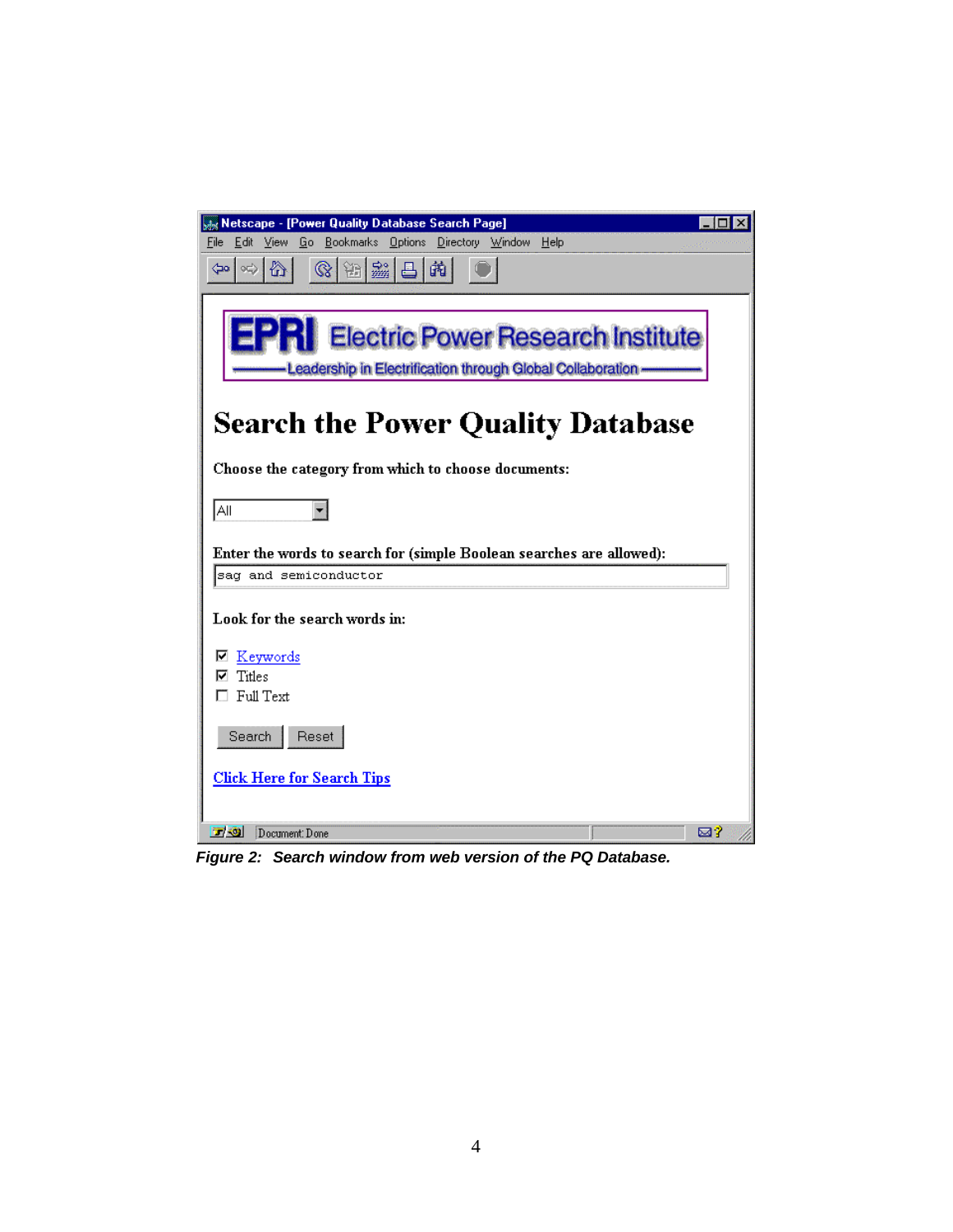| Netscape - [Power Quality Database Search Page]                                                         | $\Box$ $\times$ |
|---------------------------------------------------------------------------------------------------------|-----------------|
| Bookmarks Options Directory Window<br>File<br>Edit<br>View<br>Go<br>Help                                |                 |
| ₩<br>第一<br>$\otimes$<br>繭<br>$ \circ \!\!\!\downarrow \rangle$<br>昌<br>⊲⇔                               |                 |
|                                                                                                         |                 |
| <b>Electric Power Research Institute</b><br>-Leadership in Electrification through Global Collaboration |                 |
|                                                                                                         |                 |
| <b>Search the Power Quality Database</b>                                                                |                 |
| Choose the category from which to choose documents:                                                     |                 |
| All<br>٠                                                                                                |                 |
| Enter the words to search for (simple Boolean searches are allowed):                                    |                 |
| sag and semiconductor                                                                                   |                 |
|                                                                                                         |                 |
| Look for the search words in:                                                                           |                 |
| Keywords<br>M                                                                                           |                 |
| Titles                                                                                                  |                 |
| Full Text                                                                                               |                 |
| Reset<br>Search                                                                                         |                 |
| <b>Click Here for Search Tips</b>                                                                       |                 |
|                                                                                                         |                 |
| 同源<br>Document: Done                                                                                    | ⊠?              |

*Figure 2: Search window from web version of the PQ Database.*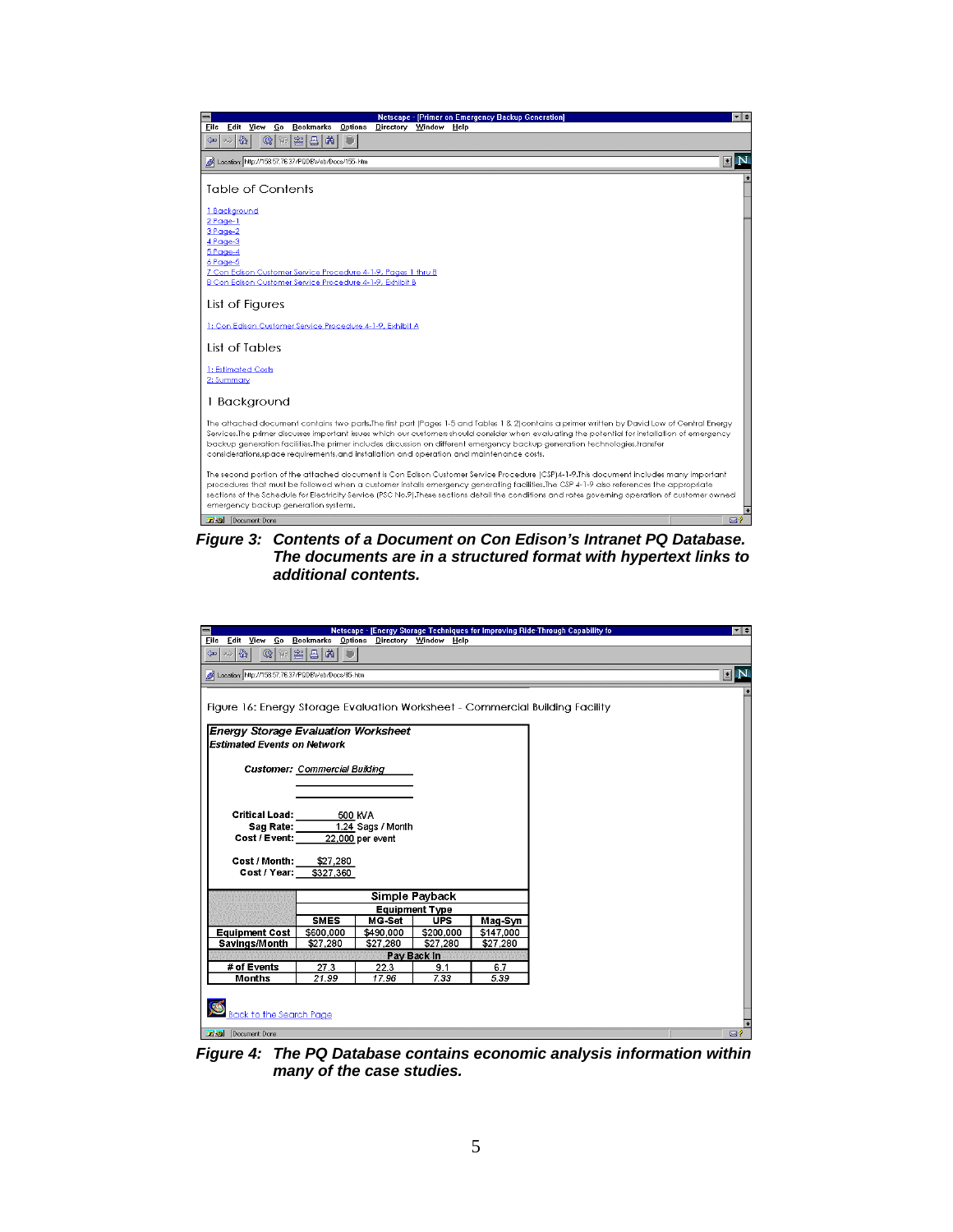

*Figure 3: Contents of a Document on Con Edison's Intranet PQ Database. The documents are in a structured format with hypertext links to additional contents.*

|                                                                 |                                         |                   |                |           | Netscape - [Energy Storage Techniques for Improving Ride-Through Capability fo | ▼ <del>↓</del>                |
|-----------------------------------------------------------------|-----------------------------------------|-------------------|----------------|-----------|--------------------------------------------------------------------------------|-------------------------------|
| Eile<br>Edit View Go                                            | Bookmarks Options Directory Window Help |                   |                |           |                                                                                |                               |
| $\Leftrightarrow$ $\otimes$ $\Delta$<br>$\frac{1}{\frac{1}{2}}$ | 28 马南                                   |                   |                |           |                                                                                |                               |
| Location: http://158.57.76.37/PQDBWeb/Docs/85-.htm              |                                         |                   |                |           |                                                                                | $\blacksquare$ $\blacksquare$ |
|                                                                 |                                         |                   |                |           |                                                                                |                               |
|                                                                 |                                         |                   |                |           |                                                                                |                               |
|                                                                 |                                         |                   |                |           | Figure 16: Energy Storage Evaluation Worksheet - Commercial Building Facility  |                               |
| <b>Energy Storage Evaluation Worksheet</b>                      |                                         |                   |                |           |                                                                                |                               |
| <b>Estimated Events on Network</b>                              |                                         |                   |                |           |                                                                                |                               |
|                                                                 |                                         |                   |                |           |                                                                                |                               |
|                                                                 | <b>Customer: Commercial Building</b>    |                   |                |           |                                                                                |                               |
|                                                                 |                                         |                   |                |           |                                                                                |                               |
|                                                                 |                                         |                   |                |           |                                                                                |                               |
|                                                                 |                                         |                   |                |           |                                                                                |                               |
| <b>Critical Load:</b>                                           |                                         | 500 KVA           |                |           |                                                                                |                               |
| Sag Rate:                                                       |                                         | 1.24 Sags / Month |                |           |                                                                                |                               |
| Cost / Event:                                                   |                                         | 22,000 per event  |                |           |                                                                                |                               |
|                                                                 |                                         |                   |                |           |                                                                                |                               |
| Cost / Month:<br>Cost / Year:                                   | \$27,280<br>\$327,360                   |                   |                |           |                                                                                |                               |
|                                                                 |                                         |                   |                |           |                                                                                |                               |
|                                                                 |                                         |                   | Simple Payback |           |                                                                                |                               |
|                                                                 | <b>Equipment Type</b>                   |                   |                |           |                                                                                |                               |
|                                                                 | <b>SMES</b>                             | MG-Set            | <b>UPS</b>     | Mag-Syn   |                                                                                |                               |
| <b>Equipment Cost</b>                                           | \$600,000                               | \$490.000         | \$200,000      | \$147,000 |                                                                                |                               |
| Savings/Month                                                   | \$27,280                                | \$27,280          | \$27,280       | \$27,280  |                                                                                |                               |
|                                                                 |                                         |                   | Pay Back In    |           |                                                                                |                               |
| # of Events                                                     | 27.3                                    | 22.3              | 91             | 6.7       |                                                                                |                               |
| <b>Months</b>                                                   | 21.99                                   | 17.96             | 7.33           | 5.39      |                                                                                |                               |
|                                                                 |                                         |                   |                |           |                                                                                |                               |
|                                                                 |                                         |                   |                |           |                                                                                |                               |
| <b>Back to the Search Page</b>                                  |                                         |                   |                |           |                                                                                |                               |
| Document Done                                                   |                                         |                   |                |           |                                                                                | ⊠?                            |

*Figure 4: The PQ Database contains economic analysis information within many of the case studies.*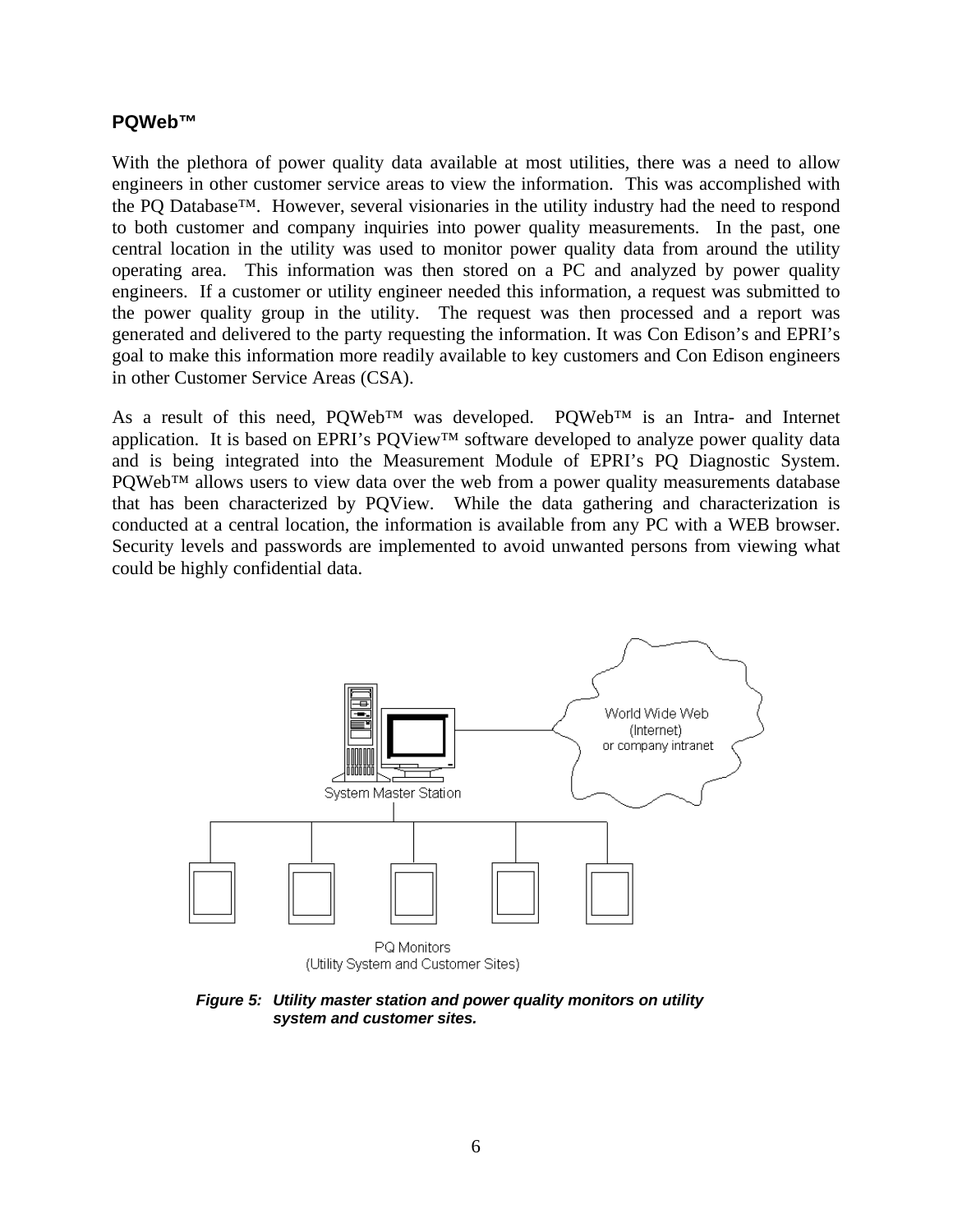#### **PQWeb™**

With the plethora of power quality data available at most utilities, there was a need to allow engineers in other customer service areas to view the information. This was accomplished with the PQ Database™. However, several visionaries in the utility industry had the need to respond to both customer and company inquiries into power quality measurements. In the past, one central location in the utility was used to monitor power quality data from around the utility operating area. This information was then stored on a PC and analyzed by power quality engineers. If a customer or utility engineer needed this information, a request was submitted to the power quality group in the utility. The request was then processed and a report was generated and delivered to the party requesting the information. It was Con Edison's and EPRI's goal to make this information more readily available to key customers and Con Edison engineers in other Customer Service Areas (CSA).

As a result of this need, PQWeb™ was developed. PQWeb™ is an Intra- and Internet application. It is based on EPRI's PQView™ software developed to analyze power quality data and is being integrated into the Measurement Module of EPRI's PQ Diagnostic System. PQWeb™ allows users to view data over the web from a power quality measurements database that has been characterized by PQView. While the data gathering and characterization is conducted at a central location, the information is available from any PC with a WEB browser. Security levels and passwords are implemented to avoid unwanted persons from viewing what could be highly confidential data.



*Figure 5: Utility master station and power quality monitors on utility system and customer sites.*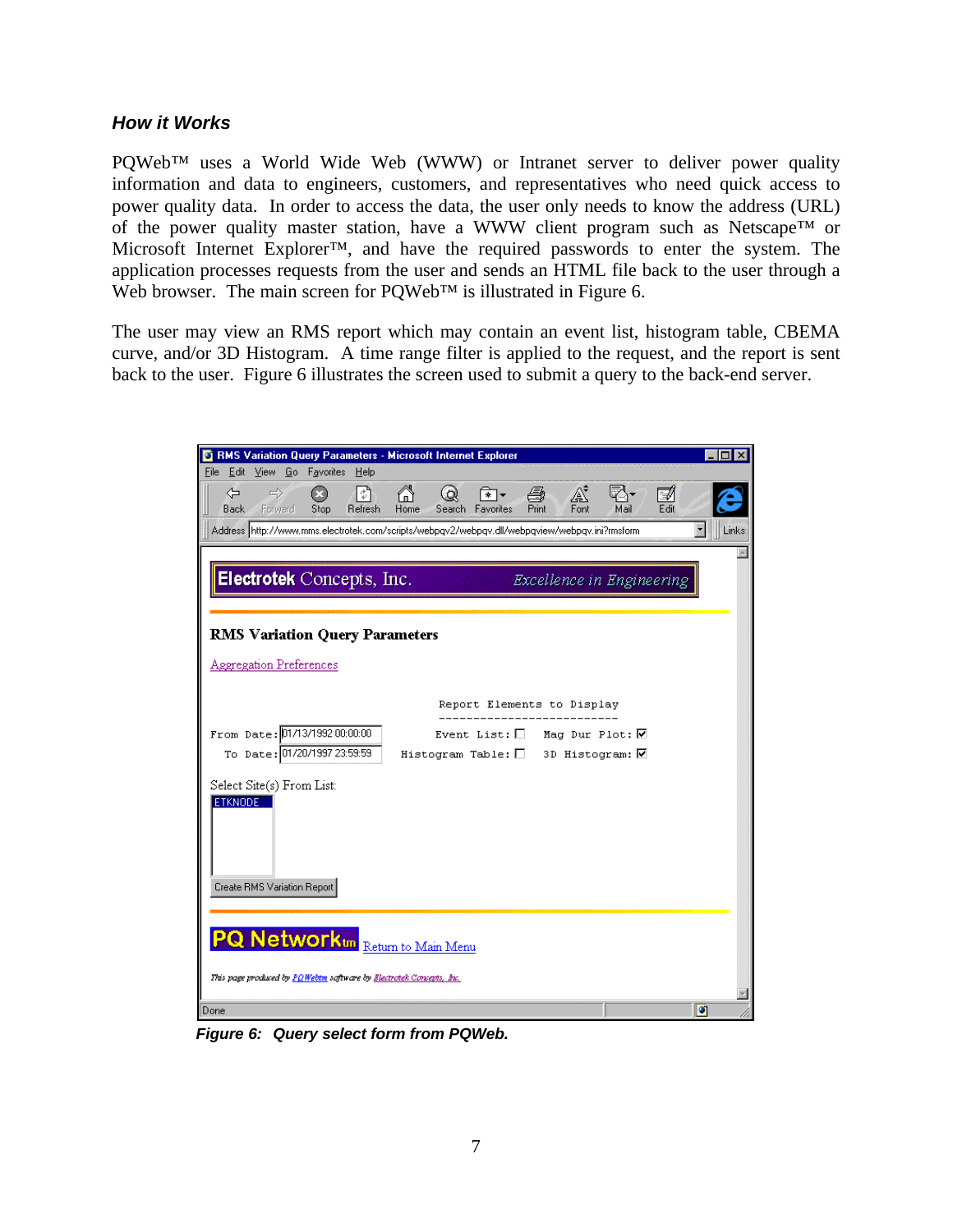#### *How it Works*

PQWeb™ uses a World Wide Web (WWW) or Intranet server to deliver power quality information and data to engineers, customers, and representatives who need quick access to power quality data. In order to access the data, the user only needs to know the address (URL) of the power quality master station, have a WWW client program such as Netscape™ or Microsoft Internet Explorer™, and have the required passwords to enter the system. The application processes requests from the user and sends an HTML file back to the user through a Web browser. The main screen for POWeb™ is illustrated in Figure 6.

The user may view an RMS report which may contain an event list, histogram table, CBEMA curve, and/or 3D Histogram. A time range filter is applied to the request, and the report is sent back to the user. Figure 6 illustrates the screen used to submit a query to the back-end server.

| ◎ RMS Variation Query Parameters - Microsoft Internet Explorer                                                                                                      |            |
|---------------------------------------------------------------------------------------------------------------------------------------------------------------------|------------|
| Edit View Go Favorites Help<br><b>File</b>                                                                                                                          |            |
| 6<br>⇦<br>$\Rightarrow$<br>A<br>q.<br>!៉ា<br>é<br>Ø<br>(ဝ)<br>* →<br>Font<br>Print<br><b>Back</b> Forward<br>Stop<br>Refresh<br>Home<br>Mail<br>Search<br>Favorites | ⋑<br>Edit  |
| Address http://www.mms.electrotek.com/scripts/webpqv2/webpqv.dll/webpqview/webpqv.ini?rmsform                                                                       | ᅬ<br>Links |
|                                                                                                                                                                     |            |
| Electrotek Concepts, Inc.<br>Excellence in Engineering                                                                                                              |            |
|                                                                                                                                                                     |            |
| <b>RMS Variation Query Parameters</b>                                                                                                                               |            |
| <b>Aggregation Preferences</b>                                                                                                                                      |            |
| Report Elements to Display                                                                                                                                          |            |
|                                                                                                                                                                     |            |
| From Date: 01/13/199200:00:00<br>Event List: $\Box$ Mag Dur Plot: $\nabla$                                                                                          |            |
| To Date: 01/20/1997 23:59:59<br>Histogram Table: $\Box$ 3D Histogram: $\nabla$                                                                                      |            |
| Select Site(s) From List:                                                                                                                                           |            |
| <b>ETKNODE</b>                                                                                                                                                      |            |
|                                                                                                                                                                     |            |
|                                                                                                                                                                     |            |
|                                                                                                                                                                     |            |
| Create RMS Variation Report                                                                                                                                         |            |
|                                                                                                                                                                     |            |
| <b>PQ Networkton</b> Return to Main Menu                                                                                                                            |            |
| This page produced by PQWebtm saftware by Electrotek Concepts, Inc.                                                                                                 |            |
| Done                                                                                                                                                                | o          |

*Figure 6: Query select form from PQWeb.*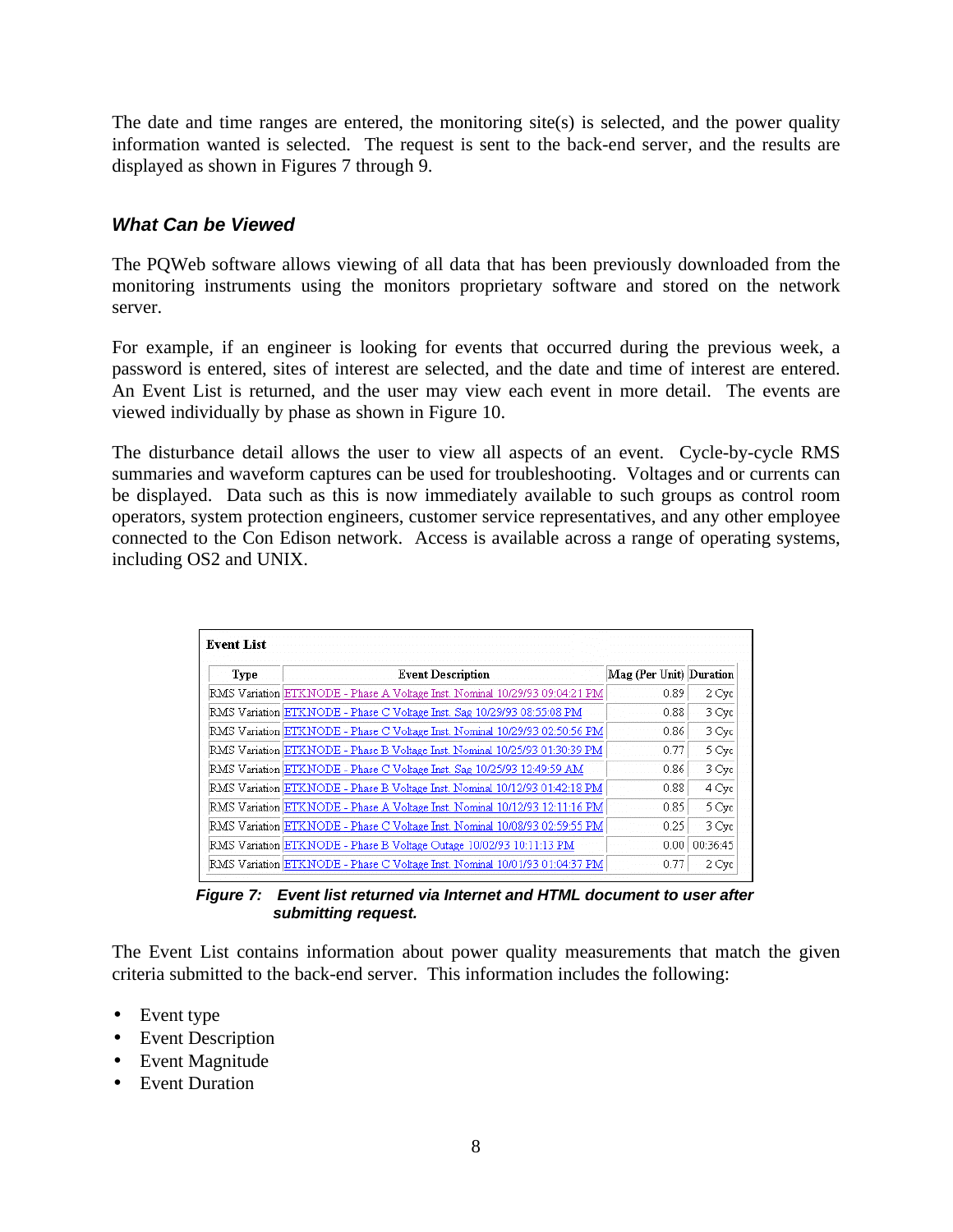The date and time ranges are entered, the monitoring site(s) is selected, and the power quality information wanted is selected. The request is sent to the back-end server, and the results are displayed as shown in Figures 7 through 9.

## *What Can be Viewed*

The PQWeb software allows viewing of all data that has been previously downloaded from the monitoring instruments using the monitors proprietary software and stored on the network server.

For example, if an engineer is looking for events that occurred during the previous week, a password is entered, sites of interest are selected, and the date and time of interest are entered. An Event List is returned, and the user may view each event in more detail. The events are viewed individually by phase as shown in Figure 10.

The disturbance detail allows the user to view all aspects of an event. Cycle-by-cycle RMS summaries and waveform captures can be used for troubleshooting. Voltages and or currents can be displayed. Data such as this is now immediately available to such groups as control room operators, system protection engineers, customer service representatives, and any other employee connected to the Con Edison network. Access is available across a range of operating systems, including OS2 and UNIX.

| Type | <b>Event Description</b>                                                   | Mag (Per Unit) Duration |          |
|------|----------------------------------------------------------------------------|-------------------------|----------|
|      | RMS Variation ETKNODE - Phase A Voltage Inst. Nominal 10/29/93 09:04:21 PM | 0.89                    | 2 Cyc    |
|      | RMS Variation ETKNODE - Phase C Voltage Inst. Sag 10/29/93 08:55:08 PM     | 0.88                    | 3 Cyc    |
|      | RMS Variation ETKNODE - Phase C Voltage Inst. Nominal 10/29/93 02:50:56 PM | 0.86                    | 3 Cyc    |
|      | RMS Variation ETKNODE - Phase B Voltage Inst. Nominal 10/25/93 01:30:39 PM | 0.77                    | 5 Cyc    |
|      | RMS Variation ETKNODE - Phase C Voltage Inst. Sag 10/25/93 12:49:59 AM     | 0.86                    | 3 Cyc    |
|      | RMS Variation ETKNODE - Phase B Voltage Inst. Nominal 10/12/93 01:42:18 PM | 0.88                    | 4 Cyc    |
|      | RMS Variation ETKNODE - Phase A Voltage Inst. Nominal 10/12/93 12:11:16 PM | 0.85                    | 5 Cyc    |
|      | RMS Variation ETKNODE - Phase C Voltage Inst. Nominal 10/08/93 02:59:55 PM | 0.25                    | 3 Cyc    |
|      | RMS Variation ETKNODE - Phase B Voltage Outage 10/02/93 10:11:13 PM        | 0.001                   | 00:36:45 |
|      | RMS Variation ETKNODE - Phase C Voltage Inst. Nominal 10/01/93 01:04:37 PM | 0.77                    | 2 Cyc    |

*Figure 7: Event list returned via Internet and HTML document to user after submitting request.*

The Event List contains information about power quality measurements that match the given criteria submitted to the back-end server. This information includes the following:

- Event type
- Event Description
- Event Magnitude
- Event Duration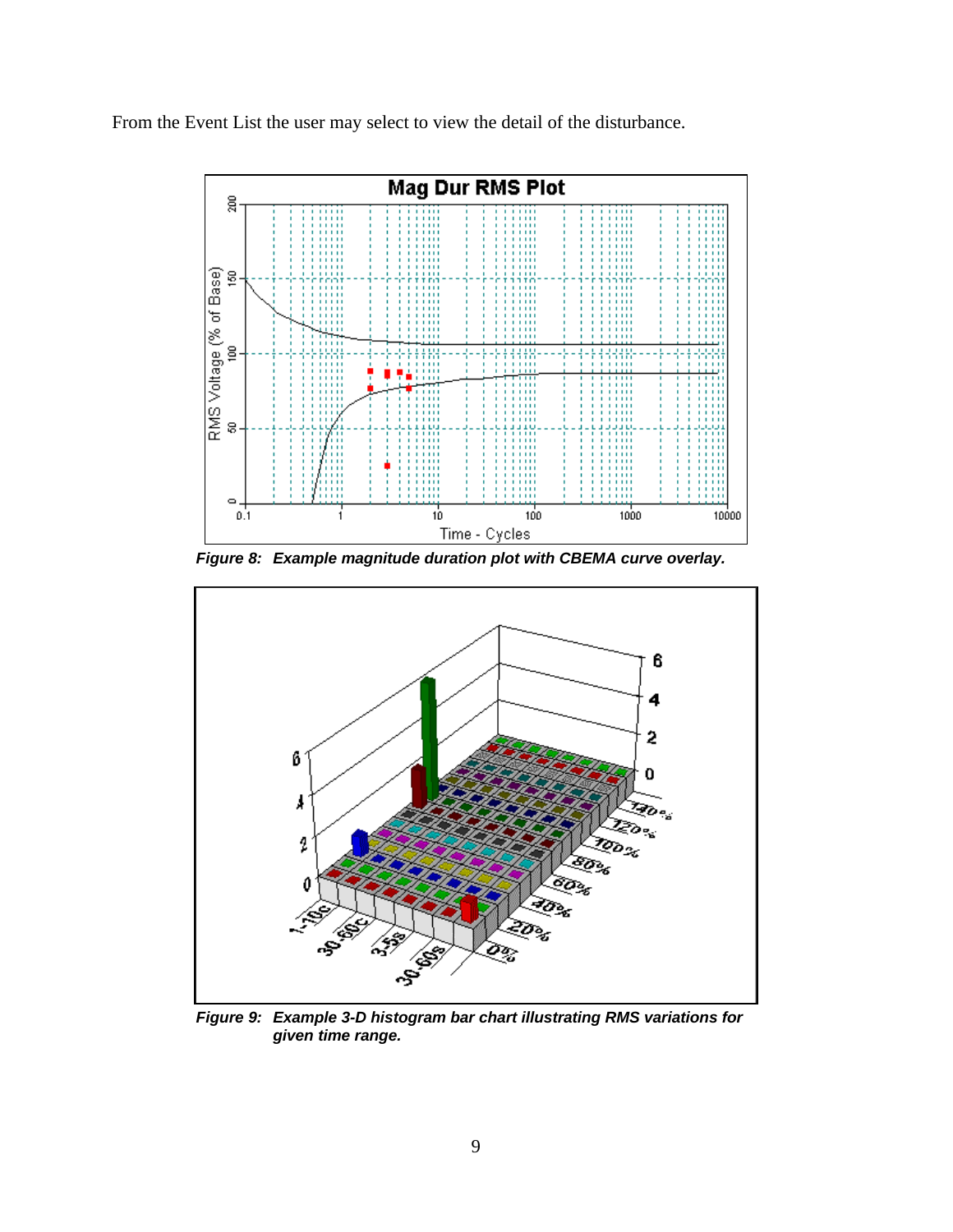From the Event List the user may select to view the detail of the disturbance.



*Figure 8: Example magnitude duration plot with CBEMA curve overlay.*



*Figure 9: Example 3-D histogram bar chart illustrating RMS variations for given time range.*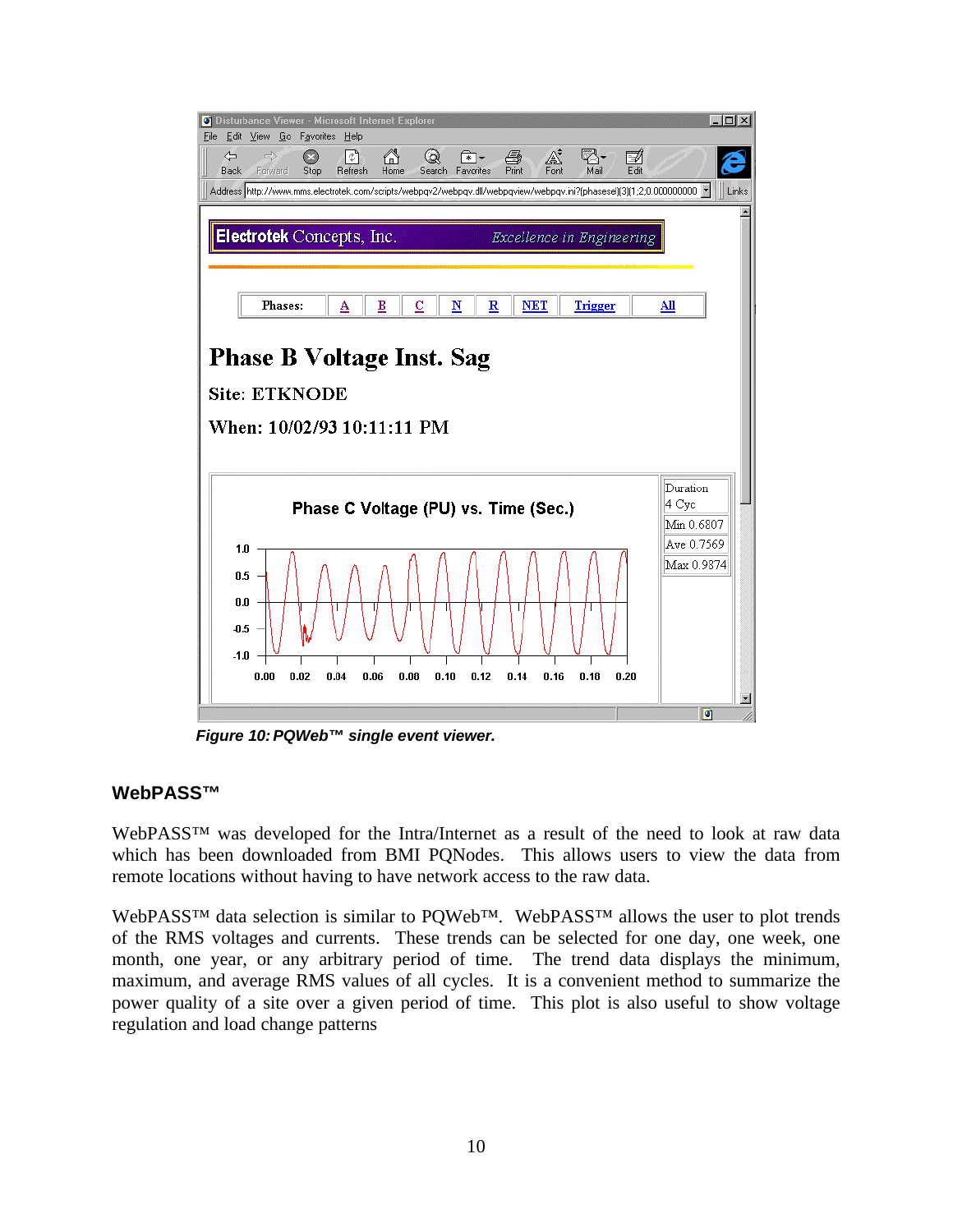

*Figure 10:PQWeb™ single event viewer.*

#### **WebPASS™**

WebPASS<sup>™</sup> was developed for the Intra/Internet as a result of the need to look at raw data which has been downloaded from BMI PQNodes. This allows users to view the data from remote locations without having to have network access to the raw data.

WebPASS<sup>™</sup> data selection is similar to PQWeb™. WebPASS<sup>™</sup> allows the user to plot trends of the RMS voltages and currents. These trends can be selected for one day, one week, one month, one year, or any arbitrary period of time. The trend data displays the minimum, maximum, and average RMS values of all cycles. It is a convenient method to summarize the power quality of a site over a given period of time. This plot is also useful to show voltage regulation and load change patterns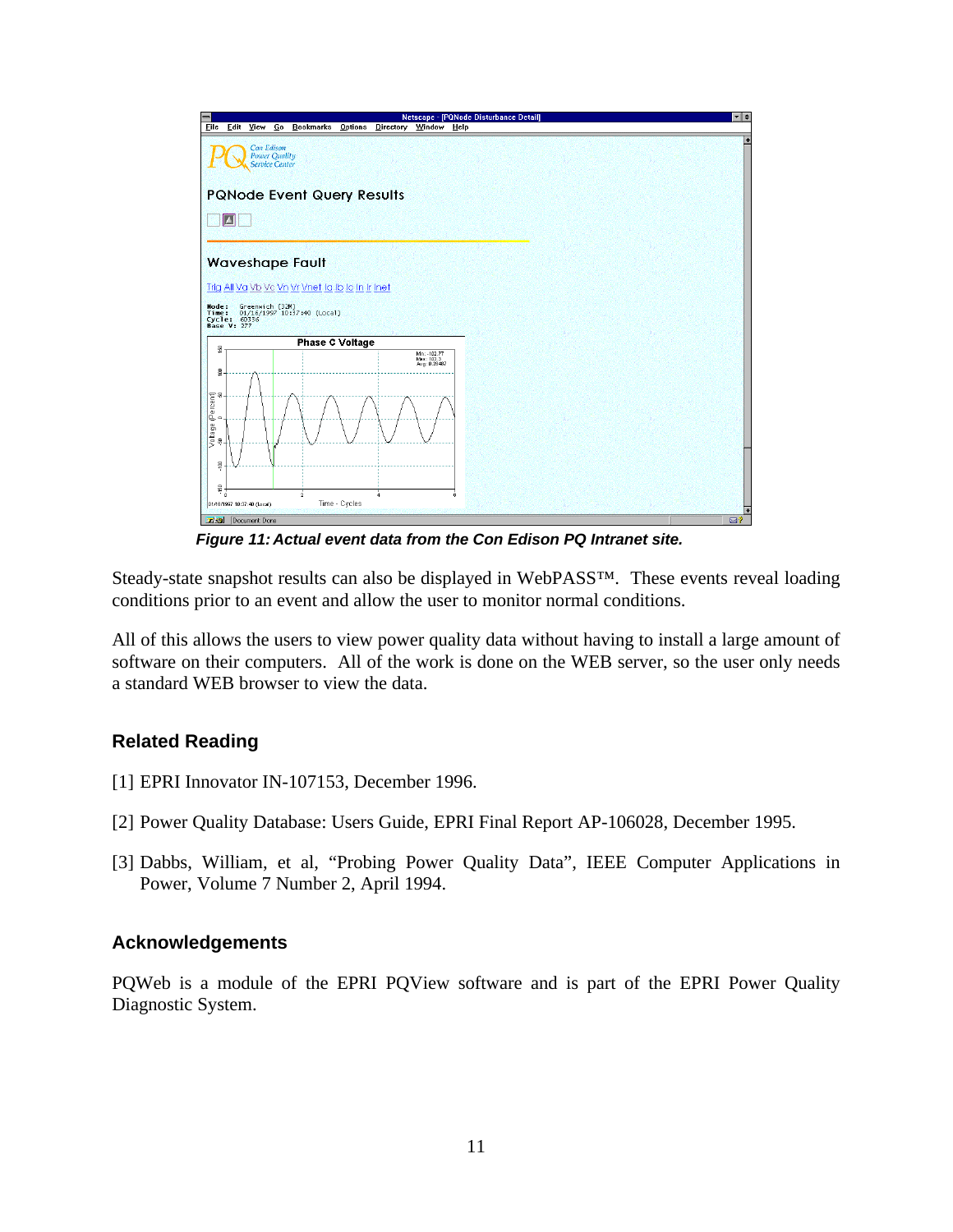

*Figure 11:Actual event data from the Con Edison PQ Intranet site.*

Steady-state snapshot results can also be displayed in WebPASS™. These events reveal loading conditions prior to an event and allow the user to monitor normal conditions.

All of this allows the users to view power quality data without having to install a large amount of software on their computers. All of the work is done on the WEB server, so the user only needs a standard WEB browser to view the data.

#### **Related Reading**

- [1] EPRI Innovator IN-107153, December 1996.
- [2] Power Quality Database: Users Guide, EPRI Final Report AP-106028, December 1995.
- [3] Dabbs, William, et al, "Probing Power Quality Data", IEEE Computer Applications in Power, Volume 7 Number 2, April 1994.

#### **Acknowledgements**

PQWeb is a module of the EPRI PQView software and is part of the EPRI Power Quality Diagnostic System.